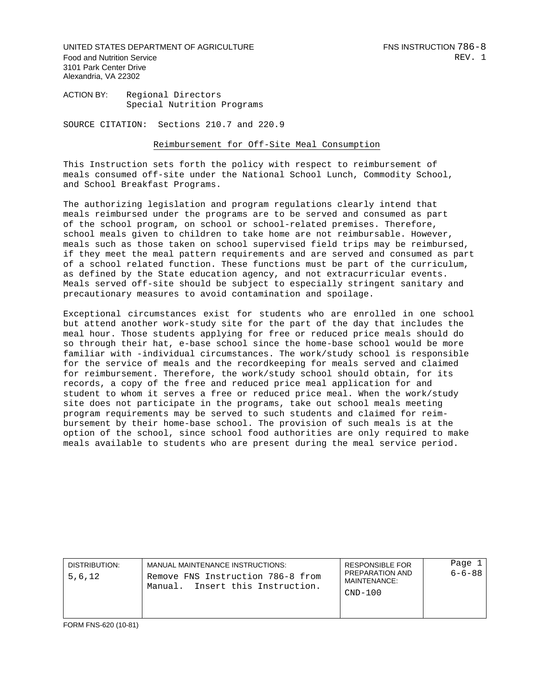UNITED STATES DEPARTMENT OF AGRICULTURE FASTLY ASSESSED FOR STATE FOR THE STATES OF  $-8$ Food and Nutrition Service **REV.** 1 3101 Park Center Drive Alexandria, VA 22302

ACTION BY: Regional Directors Special Nutrition Programs

SOURCE CITATION: Sections 210.7 and 220.9

## Reimbursement for Off-Site Meal Consumption

This Instruction sets forth the policy with respect to reimbursement of meals consumed off-site under the National School Lunch, Commodity School, and School Breakfast Programs.

The authorizing legislation and program regulations clearly intend that meals reimbursed under the programs are to be served and consumed as part of the school program, on school or school-related premises. Therefore, school meals given to children to take home are not reimbursable. However, meals such as those taken on school supervised field trips may be reimbursed, if they meet the meal pattern requirements and are served and consumed as part of a school related function. These functions must be part of the curriculum, as defined by the State education agency, and not extracurricular events. Meals served off-site should be subject to especially stringent sanitary and precautionary measures to avoid contamination and spoilage.

Exceptional circumstances exist for students who are enrolled in one school but attend another work-study site for the part of the day that includes the meal hour. Those students applying for free or reduced price meals should do so through their hat, e-base school since the home-base school would be more familiar with -individual circumstances. The work/study school is responsible for the service of meals and the recordkeeping for meals served and claimed for reimbursement. Therefore, the work/study school should obtain, for its records, a copy of the free and reduced price meal application for and student to whom it serves a free or reduced price meal. When the work/study site does not participate in the programs, take out school meals meeting program requirements may be served to such students and claimed for reimbursement by their home-base school. The provision of such meals is at the option of the school, since school food authorities are only required to make meals available to students who are present during the meal service period.

| PREPARATION AND<br>5,6,12<br>Remove FNS Instruction 786-8 from<br>MAINTENANCE:<br>Insert this Instruction.<br>Manual.<br>$CND-100$ | DISTRIBUTION. | MANUAL MAINTENANCE INSTRUCTIONS: | <b>RESPONSIBLE FOR</b> | Page $1$<br>$6 - 6 - 88$ |
|------------------------------------------------------------------------------------------------------------------------------------|---------------|----------------------------------|------------------------|--------------------------|
|------------------------------------------------------------------------------------------------------------------------------------|---------------|----------------------------------|------------------------|--------------------------|

FORM FNS-620 (10-81)